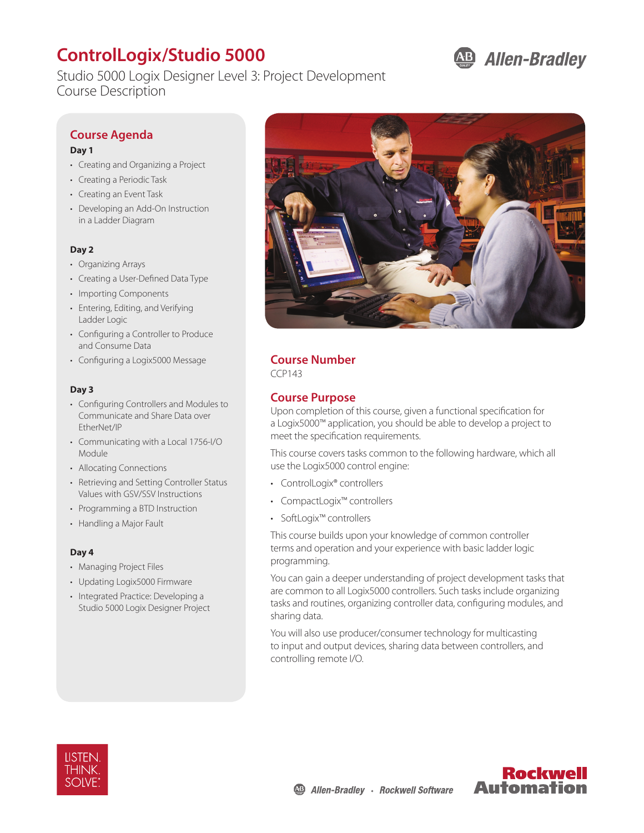# **ControlLogix/Studio 5000**

Studio 5000 Logix Designer Level 3: Project Development Course Description

# **AB Allen-Bradley**

# **Course Agenda**

#### **Day 1**

- Creating and Organizing a Project
- Creating a Periodic Task
- Creating an Event Task
- Developing an Add-On Instruction in a Ladder Diagram

#### **Day 2**

- Organizing Arrays
- Creating a User-Defined Data Type
- Importing Components
- Entering, Editing, and Verifying Ladder Logic
- Configuring a Controller to Produce and Consume Data
- Configuring a Logix5000 Message

#### **Day 3**

- Configuring Controllers and Modules to Communicate and Share Data over EtherNet/IP
- Communicating with a Local 1756-I/O Module
- Allocating Connections
- Retrieving and Setting Controller Status Values with GSV/SSV Instructions
- Programming a BTD Instruction
- Handling a Major Fault

#### **Day 4**

- Managing Project Files
- Updating Logix5000 Firmware
- Integrated Practice: Developing a Studio 5000 Logix Designer Project



## **Course Number**

CCP143

## **Course Purpose**

Upon completion of this course, given a functional specification for a Logix5000™ application, you should be able to develop a project to meet the specification requirements.

This course covers tasks common to the following hardware, which all use the Logix5000 control engine:

- ControlLogix® controllers
- CompactLogix™ controllers
- SoftLogix™ controllers

This course builds upon your knowledge of common controller terms and operation and your experience with basic ladder logic programming.

You can gain a deeper understanding of project development tasks that are common to all Logix5000 controllers. Such tasks include organizing tasks and routines, organizing controller data, configuring modules, and sharing data.

You will also use producer/consumer technology for multicasting to input and output devices, sharing data between controllers, and controlling remote I/O.